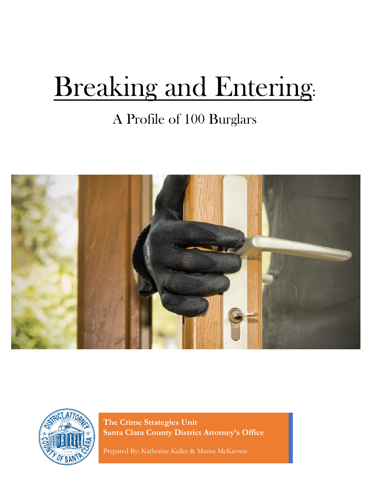# Breaking and Entering:

# A Profile of 100 Burglars





**The Crime Strategies Unit Santa Clara County District Attorney's Office**

Prepared By: Katherine Keller & Marisa McKeown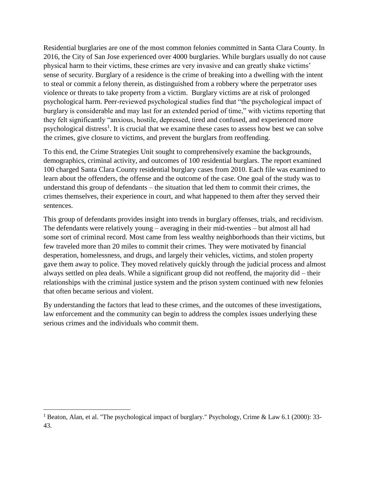Residential burglaries are one of the most common felonies committed in Santa Clara County. In 2016, the City of San Jose experienced over 4000 burglaries. While burglars usually do not cause physical harm to their victims, these crimes are very invasive and can greatly shake victims' sense of security. Burglary of a residence is the crime of breaking into a dwelling with the intent to steal or commit a felony therein, as distinguished from a robbery where the perpetrator uses violence or threats to take property from a victim. Burglary victims are at risk of prolonged psychological harm. Peer-reviewed psychological studies find that "the psychological impact of burglary is considerable and may last for an extended period of time," with victims reporting that they felt significantly "anxious, hostile, depressed, tired and confused, and experienced more psychological distress<sup>1</sup>. It is crucial that we examine these cases to assess how best we can solve the crimes, give closure to victims, and prevent the burglars from reoffending.

To this end, the Crime Strategies Unit sought to comprehensively examine the backgrounds, demographics, criminal activity, and outcomes of 100 residential burglars. The report examined 100 charged Santa Clara County residential burglary cases from 2010. Each file was examined to learn about the offenders, the offense and the outcome of the case. One goal of the study was to understand this group of defendants – the situation that led them to commit their crimes, the crimes themselves, their experience in court, and what happened to them after they served their sentences.

This group of defendants provides insight into trends in burglary offenses, trials, and recidivism. The defendants were relatively young – averaging in their mid-twenties – but almost all had some sort of criminal record. Most came from less wealthy neighborhoods than their victims, but few traveled more than 20 miles to commit their crimes. They were motivated by financial desperation, homelessness, and drugs, and largely their vehicles, victims, and stolen property gave them away to police. They moved relatively quickly through the judicial process and almost always settled on plea deals. While a significant group did not reoffend, the majority did – their relationships with the criminal justice system and the prison system continued with new felonies that often became serious and violent.

By understanding the factors that lead to these crimes, and the outcomes of these investigations, law enforcement and the community can begin to address the complex issues underlying these serious crimes and the individuals who commit them.

<sup>1</sup> Beaton, Alan, et al. "The psychological impact of burglary." Psychology, Crime & Law 6.1 (2000): 33- 43.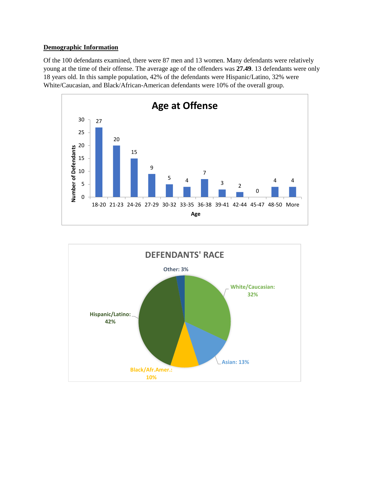#### **Demographic Information**

Of the 100 defendants examined, there were 87 men and 13 women. Many defendants were relatively young at the time of their offense. The average age of the offenders was **27.49**. 13 defendants were only 18 years old. In this sample population, 42% of the defendants were Hispanic/Latino, 32% were White/Caucasian, and Black/African-American defendants were 10% of the overall group.



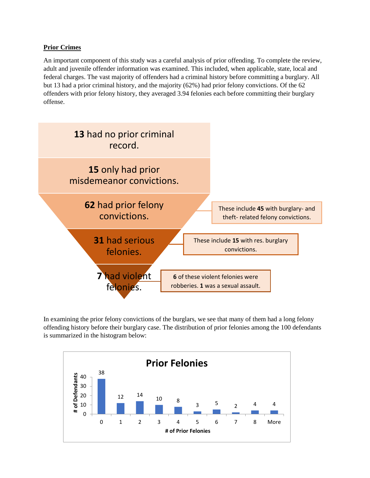#### **Prior Crimes**

An important component of this study was a careful analysis of prior offending. To complete the review, adult and juvenile offender information was examined. This included, when applicable, state, local and federal charges. The vast majority of offenders had a criminal history before committing a burglary. All but 13 had a prior criminal history, and the majority (62%) had prior felony convictions. Of the 62 offenders with prior felony history, they averaged 3.94 felonies each before committing their burglary offense.



In examining the prior felony convictions of the burglars, we see that many of them had a long felony offending history before their burglary case. The distribution of prior felonies among the 100 defendants is summarized in the histogram below:

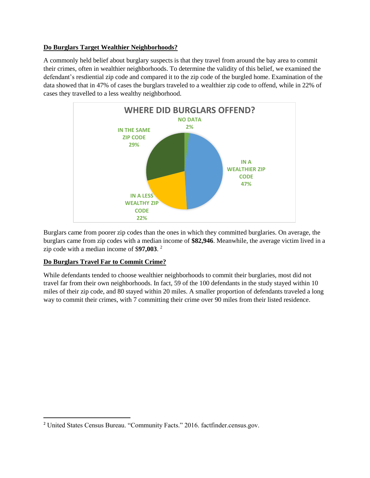#### **Do Burglars Target Wealthier Neighborhoods?**

A commonly held belief about burglary suspects is that they travel from around the bay area to commit their crimes, often in wealthier neighborhoods. To determine the validity of this belief, we examined the defendant's resdiential zip code and compared it to the zip code of the burgled home. Examination of the data showed that in 47% of cases the burglars traveled to a wealthier zip code to offend, while in 22% of cases they travelled to a less wealthy neighborhood.



Burglars came from poorer zip codes than the ones in which they committed burglaries. On average, the burglars came from zip codes with a median income of **\$82,946**. Meanwhile, the average victim lived in a zip code with a median income of \$**97,003**. 2

#### **Do Burglars Travel Far to Commit Crime?**

 $\overline{\phantom{a}}$ 

While defendants tended to choose wealthier neighborhoods to commit their burglaries, most did not travel far from their own neighborhoods. In fact, 59 of the 100 defendants in the study stayed within 10 miles of their zip code, and 80 stayed within 20 miles. A smaller proportion of defendants traveled a long way to commit their crimes, with 7 committing their crime over 90 miles from their listed residence.

<sup>2</sup> United States Census Bureau. "Community Facts." 2016. factfinder.census.gov.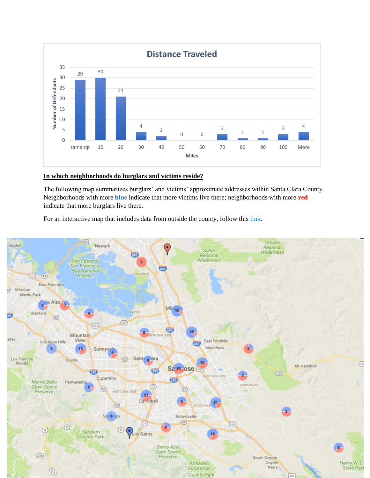

#### **In which neighborhoods do burglars and victims reside?**

The following map summarizes burglars' and victims' approximate addresses within Santa Clara County. Neighborhoods with more **blue** indicate that more victims live there; neighborhoods with more **red** indicate that more burglars live there.

For an interactive map that includes data from outside the county, follow this [link.](https://www.easymapmaker.com/map/30112fdb8492a93b3702a60bc3e4db70)

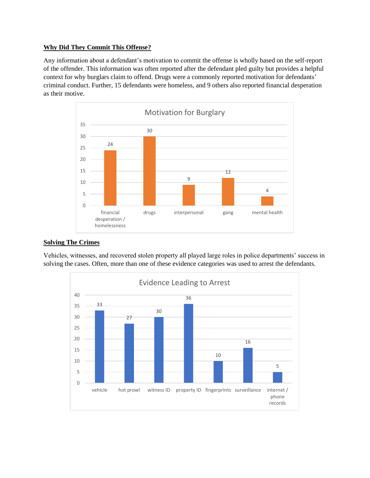#### **Why Did They Commit This Offense?**

Any information about a defendant's motivation to commit the offense is wholly based on the self-report of the offender. This information was often reported after the defendant pled guilty but provides a helpful context for why burglars claim to offend. Drugs were a commonly reported motivation for defendants' criminal conduct. Further, 15 defendants were homeless, and 9 others also reported financial desperation as their motive.



#### **Solving The Crimes**

Vehicles, witnesses, and recovered stolen property all played large roles in police departments' success in solving the cases. Often, more than one of these evidence categories was used to arrest the defendants.

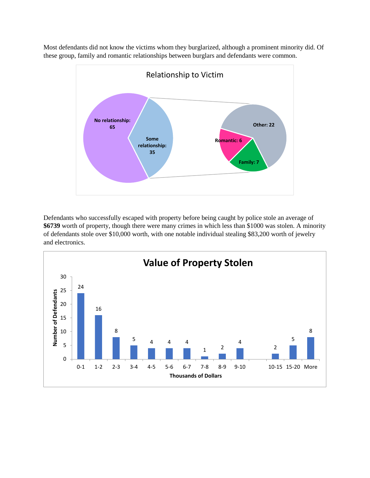Most defendants did not know the victims whom they burglarized, although a prominent minority did. Of these group, family and romantic relationships between burglars and defendants were common.



Defendants who successfully escaped with property before being caught by police stole an average of **\$6739** worth of property, though there were many crimes in which less than \$1000 was stolen. A minority of defendants stole over \$10,000 worth, with one notable individual stealing \$83,200 worth of jewelry and electronics.

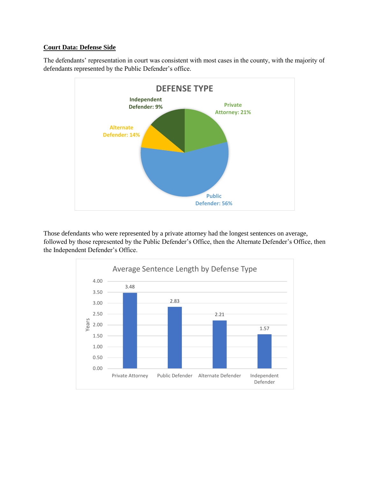#### **Court Data: Defense Side**

The defendants' representation in court was consistent with most cases in the county, with the majority of defendants represented by the Public Defender's office.



Those defendants who were represented by a private attorney had the longest sentences on average, followed by those represented by the Public Defender's Office, then the Alternate Defender's Office, then the Independent Defender's Office.

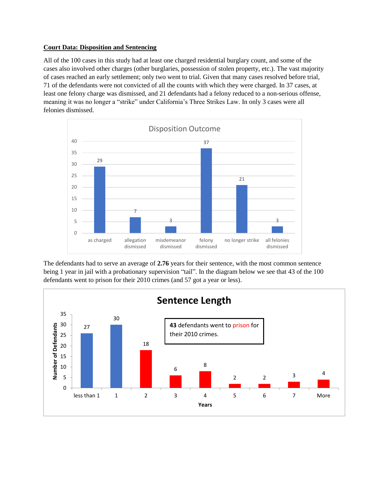#### **Court Data: Disposition and Sentencing**

All of the 100 cases in this study had at least one charged residential burglary count, and some of the cases also involved other charges (other burglaries, possession of stolen property, etc.). The vast majority of cases reached an early settlement; only two went to trial. Given that many cases resolved before trial, 71 of the defendants were not convicted of all the counts with which they were charged. In 37 cases, at least one felony charge was dismissed, and 21 defendants had a felony reduced to a non-serious offense, meaning it was no longer a "strike" under California's Three Strikes Law. In only 3 cases were all felonies dismissed.



The defendants had to serve an average of **2.76** years for their sentence, with the most common sentence being 1 year in jail with a probationary supervision "tail". In the diagram below we see that 43 of the 100 defendants went to prison for their 2010 crimes (and 57 got a year or less).

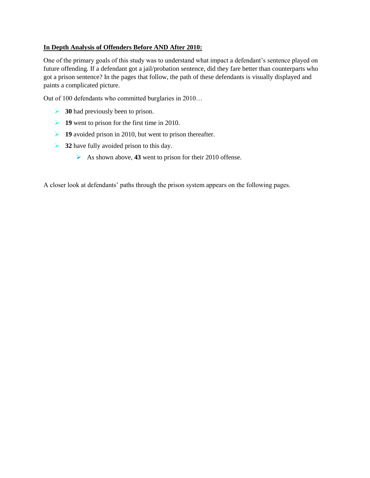#### **In Depth Analysis of Offenders Before AND After 2010:**

One of the primary goals of this study was to understand what impact a defendant's sentence played on future offending. If a defendant got a jail/probation sentence, did they fare better than counterparts who got a prison sentence? In the pages that follow, the path of these defendants is visually displayed and paints a complicated picture.

Out of 100 defendants who committed burglaries in 2010…

- ➢ **30** had previously been to prison.
- ➢ **19** went to prison for the first time in 2010.
- ➢ **19** avoided prison in 2010, but went to prison thereafter.
- ➢ **32** have fully avoided prison to this day.
	- ➢ As shown above, **43** went to prison for their 2010 offense.

A closer look at defendants' paths through the prison system appears on the following pages.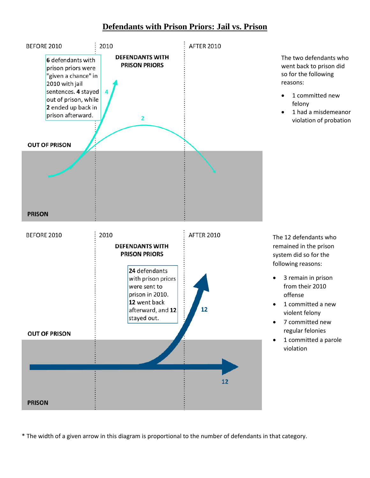### **Defendants with Prison Priors: Jail vs. Prison**



\* The width of a given arrow in this diagram is proportional to the number of defendants in that category.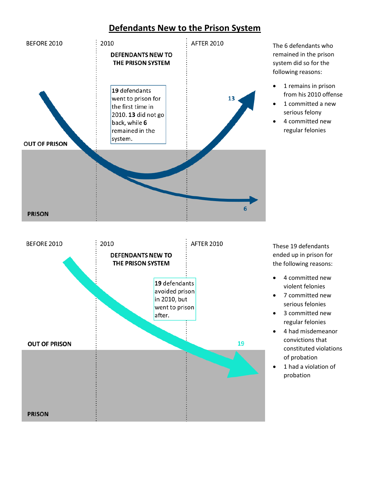## **Defendants New to the Prison System**